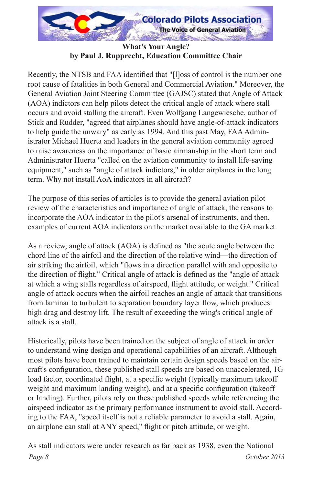

**What's Your Angle?** by Paul J. Rupprecht, Education Committee Chair

Recently, the NTSB and FAA identified that "[1] oss of control is the number one root cause of fatalities in both General and Commercial Aviation." Moreover, the General Aviation Joint Steering Committee (GAJSC) stated that Angle of Attack (AOA) indictors can help pilots detect the critical angle of attack where stall occurs and avoid stalling the aircraft. Even Wolfgang Langewiesche, author of Stick and Rudder, "agreed that airplanes should have angle-of-attack indicators to help guide the unwary" as early as 1994. And this past May, FAA Administrator Michael Huerta and leaders in the general aviation community agreed to raise awareness on the importance of basic airmanship in the short term and Administrator Huerta "called on the aviation community to install life-saving equipment," such as "angle of attack indictors," in older airplanes in the long term. Why not install AoA indicators in all aircraft?

The purpose of this series of articles is to provide the general aviation pilot review of the characteristics and importance of angle of attack, the reasons to incorporate the AOA indicator in the pilot's arsenal of instruments, and then, examples of current AOA indicators on the market available to the GA market.

As a review, angle of attack (AOA) is defined as "the acute angle between the chord line of the airfoil and the direction of the relative wind—the direction of air striking the airfoil, which "flows in a direction parallel with and opposite to the direction of flight." Critical angle of attack is defined as the "angle of attack at which a wing stalls regardless of airspeed, flight attitude, or weight." Critical angle of attack occurs when the airfoil reaches an angle of attack that transitions from laminar to turbulent to separation boundary layer flow, which produces high drag and destroy lift. The result of exceeding the wing's critical angle of attack is a stall

Historically, pilots have been trained on the subject of angle of attack in order to understand wing design and operational capabilities of an aircraft. Although most pilots have been trained to maintain certain design speeds based on the aircraft's configuration, these published stall speeds are based on unaccelerated, 1G load factor, coordinated flight, at a specific weight (typically maximum takeoff weight and maximum landing weight), and at a specific configuration (takeoff or landing). Further, pilots rely on these published speeds while referencing the airspeed indicator as the primary performance instrument to avoid stall. According to the FAA, "speed itself is not a reliable parameter to avoid a stall. Again, an airplane can stall at ANY speed," flight or pitch attitude, or weight.

As stall indicators were under research as far back as 1938, even the National *Page 8 October 2013*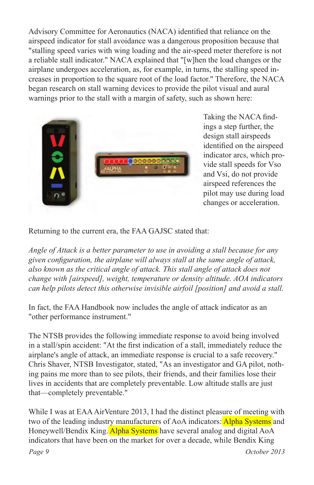Advisory Committee for Aeronautics (NACA) identified that reliance on the airspeed indicator for stall avoidance was a dangerous proposition because that "stalling speed varies with wing loading and the air-speed meter therefore is not a reliable stall indicator." NACA explained that "[w]hen the load changes or the airplane undergoes acceleration, as, for example, in turns, the stalling speed increases in proportion to the square root of the load factor." Therefore, the NACA began research on stall warning devices to provide the pilot visual and aural warnings prior to the stall with a margin of safety, such as shown here:



Taking the NACA findings a step further, the design stall airspeeds identified on the airspeed indicator arcs, which provide stall speeds for Vso and Vsi, do not provide airspeed references the pilot may use during load changes or acceleration.

Returning to the current era, the FAA GAJSC stated that:

*Angle of Attack is a better parameter to use in avoiding a stall because for any given configuration, the airplane will always stall at the same angle of attack, also known as the critical angle of attack. This stall angle of attack does not change with [airspeed], weight, temperature or density altitude. AOA indicators can help pilots detect this otherwise invisible airfoil [position] and avoid a stall.*

In fact, the FAA Handbook now includes the angle of attack indicator as an "other performance instrument."

The NTSB provides the following immediate response to avoid being involved in a stall/spin accident: "At the first indication of a stall, immediately reduce the airplane's angle of attack, an immediate response is crucial to a safe recovery." Chris Shaver, NTSB Investigator, stated, "As an investigator and GA pilot, nothing pains me more than to see pilots, their friends, and their families lose their lives in accidents that are completely preventable. Low altitude stalls are just that—completely preventable."

While I was at EAA AirVenture 2013, I had the distinct pleasure of meeting with two of the leading industry manufacturers of AoA indicators: **Alpha Systems** and Honeywell/Bendix King. Alpha Systems have several analog and digital AoA indicators that have been on the market for over a decade, while Bendix King